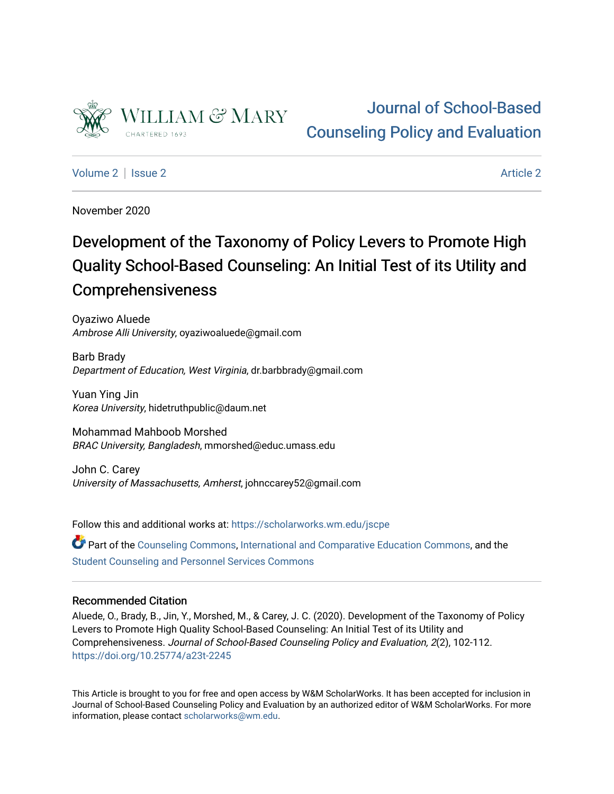

# [Journal of School-Based](https://scholarworks.wm.edu/jscpe)  [Counseling Policy and Evaluation](https://scholarworks.wm.edu/jscpe)

[Volume 2](https://scholarworks.wm.edu/jscpe/vol2) | [Issue 2](https://scholarworks.wm.edu/jscpe/vol2/iss2) [Article 2](https://scholarworks.wm.edu/jscpe/vol2/iss2/2) Article 2 Article 2 Article 2 Article 2 Article 2 Article 2 Article 2 Article 2 Article 2 Article 2 Article 2 Article 2 Article 2 Article 2 Article 2 Article 2 Article 2 Article 2 Article 2 Art

November 2020

# Development of the Taxonomy of Policy Levers to Promote High Quality School-Based Counseling: An Initial Test of its Utility and Comprehensiveness

Oyaziwo Aluede Ambrose Alli University, oyaziwoaluede@gmail.com

Barb Brady Department of Education, West Virginia, dr.barbbrady@gmail.com

Yuan Ying Jin Korea University, hidetruthpublic@daum.net

Mohammad Mahboob Morshed BRAC University, Bangladesh, mmorshed@educ.umass.edu

John C. Carey University of Massachusetts, Amherst, johnccarey52@gmail.com

Follow this and additional works at: [https://scholarworks.wm.edu/jscpe](https://scholarworks.wm.edu/jscpe?utm_source=scholarworks.wm.edu%2Fjscpe%2Fvol2%2Fiss2%2F2&utm_medium=PDF&utm_campaign=PDFCoverPages) 

Part of the [Counseling Commons,](http://network.bepress.com/hgg/discipline/1268?utm_source=scholarworks.wm.edu%2Fjscpe%2Fvol2%2Fiss2%2F2&utm_medium=PDF&utm_campaign=PDFCoverPages) [International and Comparative Education Commons](http://network.bepress.com/hgg/discipline/797?utm_source=scholarworks.wm.edu%2Fjscpe%2Fvol2%2Fiss2%2F2&utm_medium=PDF&utm_campaign=PDFCoverPages), and the [Student Counseling and Personnel Services Commons](http://network.bepress.com/hgg/discipline/802?utm_source=scholarworks.wm.edu%2Fjscpe%2Fvol2%2Fiss2%2F2&utm_medium=PDF&utm_campaign=PDFCoverPages)

# Recommended Citation

Aluede, O., Brady, B., Jin, Y., Morshed, M., & Carey, J. C. (2020). Development of the Taxonomy of Policy Levers to Promote High Quality School-Based Counseling: An Initial Test of its Utility and Comprehensiveness. Journal of School-Based Counseling Policy and Evaluation, 2(2), 102-112. <https://doi.org/10.25774/a23t-2245>

This Article is brought to you for free and open access by W&M ScholarWorks. It has been accepted for inclusion in Journal of School-Based Counseling Policy and Evaluation by an authorized editor of W&M ScholarWorks. For more information, please contact [scholarworks@wm.edu](mailto:scholarworks@wm.edu).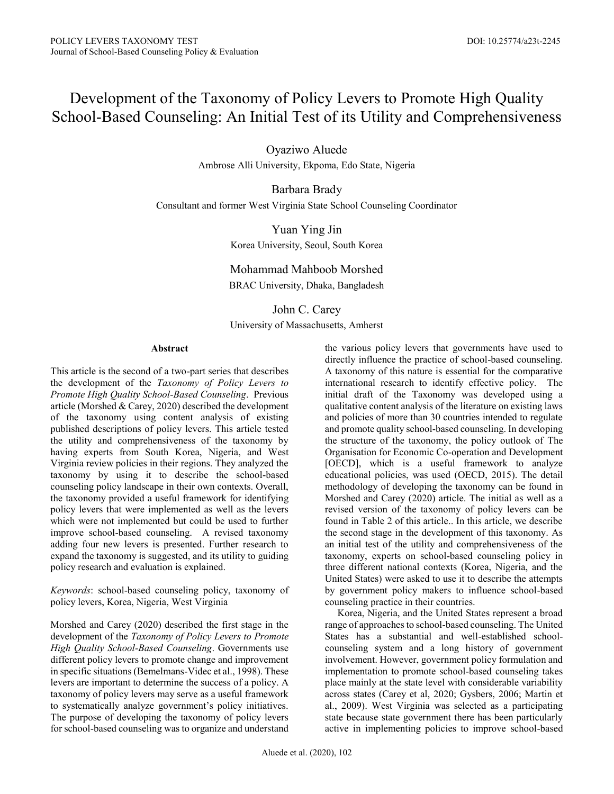# Development of the Taxonomy of Policy Levers to Promote High Quality School-Based Counseling: An Initial Test of its Utility and Comprehensiveness

Oyaziwo Aluede

Ambrose Alli University, Ekpoma, Edo State, Nigeria

Barbara Brady Consultant and former West Virginia State School Counseling Coordinator

> Yuan Ying Jin Korea University, Seoul, South Korea

> Mohammad Mahboob Morshed BRAC University, Dhaka, Bangladesh

> John C. Carey University of Massachusetts, Amherst

#### **Abstract**

This article is the second of a two-part series that describes the development of the *Taxonomy of Policy Levers to Promote High Quality School-Based Counseling*. Previous article (Morshed & Carey, 2020) described the development of the taxonomy using content analysis of existing published descriptions of policy levers. This article tested the utility and comprehensiveness of the taxonomy by having experts from South Korea, Nigeria, and West Virginia review policies in their regions. They analyzed the taxonomy by using it to describe the school-based counseling policy landscape in their own contexts. Overall, the taxonomy provided a useful framework for identifying policy levers that were implemented as well as the levers which were not implemented but could be used to further improve school-based counseling. A revised taxonomy adding four new levers is presented. Further research to expand the taxonomy is suggested, and its utility to guiding policy research and evaluation is explained.

*Keywords*: school-based counseling policy, taxonomy of policy levers, Korea, Nigeria, West Virginia

Morshed and Carey (2020) described the first stage in the development of the *Taxonomy of Policy Levers to Promote High Quality School-Based Counseling*. Governments use different policy levers to promote change and improvement in specific situations (Bemelmans-Videc et al., 1998). These levers are important to determine the success of a policy. A taxonomy of policy levers may serve as a useful framework to systematically analyze government's policy initiatives. The purpose of developing the taxonomy of policy levers for school-based counseling was to organize and understand the various policy levers that governments have used to directly influence the practice of school-based counseling. A taxonomy of this nature is essential for the comparative international research to identify effective policy. The initial draft of the Taxonomy was developed using a qualitative content analysis of the literature on existing laws and policies of more than 30 countries intended to regulate and promote quality school-based counseling. In developing the structure of the taxonomy, the policy outlook of The Organisation for Economic Co-operation and Development [OECD], which is a useful framework to analyze educational policies, was used (OECD, 2015). The detail methodology of developing the taxonomy can be found in Morshed and Carey (2020) article. The initial as well as a revised version of the taxonomy of policy levers can be found in Table 2 of this article.. In this article, we describe the second stage in the development of this taxonomy. As an initial test of the utility and comprehensiveness of the taxonomy, experts on school-based counseling policy in three different national contexts (Korea, Nigeria, and the United States) were asked to use it to describe the attempts by government policy makers to influence school-based counseling practice in their countries.

 Korea, Nigeria, and the United States represent a broad range of approaches to school-based counseling. The United States has a substantial and well-established schoolcounseling system and a long history of government involvement. However, government policy formulation and implementation to promote school-based counseling takes place mainly at the state level with considerable variability across states (Carey et al, 2020; Gysbers, 2006; Martin et al., 2009). West Virginia was selected as a participating state because state government there has been particularly active in implementing policies to improve school-based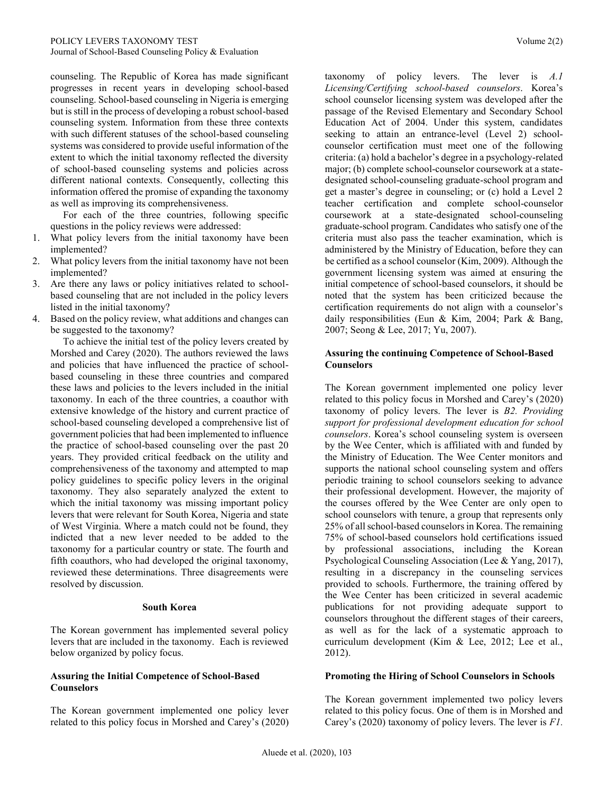counseling. The Republic of Korea has made significant progresses in recent years in developing school-based counseling. School-based counseling in Nigeria is emerging but is still in the process of developing a robust school-based counseling system. Information from these three contexts with such different statuses of the school-based counseling systems was considered to provide useful information of the extent to which the initial taxonomy reflected the diversity of school-based counseling systems and policies across different national contexts. Consequently, collecting this information offered the promise of expanding the taxonomy as well as improving its comprehensiveness.

 For each of the three countries, following specific questions in the policy reviews were addressed:

- 1. What policy levers from the initial taxonomy have been implemented?
- 2. What policy levers from the initial taxonomy have not been implemented?
- 3. Are there any laws or policy initiatives related to schoolbased counseling that are not included in the policy levers listed in the initial taxonomy?
- 4. Based on the policy review, what additions and changes can be suggested to the taxonomy?

 To achieve the initial test of the policy levers created by Morshed and Carey (2020). The authors reviewed the laws and policies that have influenced the practice of schoolbased counseling in these three countries and compared these laws and policies to the levers included in the initial taxonomy. In each of the three countries, a coauthor with extensive knowledge of the history and current practice of school-based counseling developed a comprehensive list of government policies that had been implemented to influence the practice of school-based counseling over the past 20 years. They provided critical feedback on the utility and comprehensiveness of the taxonomy and attempted to map policy guidelines to specific policy levers in the original taxonomy. They also separately analyzed the extent to which the initial taxonomy was missing important policy levers that were relevant for South Korea, Nigeria and state of West Virginia. Where a match could not be found, they indicted that a new lever needed to be added to the taxonomy for a particular country or state. The fourth and fifth coauthors, who had developed the original taxonomy, reviewed these determinations. Three disagreements were resolved by discussion.

#### **South Korea**

The Korean government has implemented several policy levers that are included in the taxonomy. Each is reviewed below organized by policy focus.

#### **Assuring the Initial Competence of School-Based Counselors**

The Korean government implemented one policy lever related to this policy focus in Morshed and Carey's (2020) taxonomy of policy levers. The lever is *A.1 Licensing/Certifying school-based counselors*. Korea's school counselor licensing system was developed after the passage of the Revised Elementary and Secondary School Education Act of 2004. Under this system, candidates seeking to attain an entrance-level (Level 2) schoolcounselor certification must meet one of the following criteria: (a) hold a bachelor's degree in a psychology-related major; (b) complete school-counselor coursework at a statedesignated school-counseling graduate-school program and get a master's degree in counseling; or (c) hold a Level 2 teacher certification and complete school-counselor coursework at a state-designated school-counseling graduate-school program. Candidates who satisfy one of the criteria must also pass the teacher examination, which is administered by the Ministry of Education, before they can be certified as a school counselor (Kim, 2009). Although the government licensing system was aimed at ensuring the initial competence of school-based counselors, it should be noted that the system has been criticized because the certification requirements do not align with a counselor's daily responsibilities (Eun & Kim, 2004; Park & Bang, 2007; Seong & Lee, 2017; Yu, 2007).

#### **Assuring the continuing Competence of School-Based Counselors**

The Korean government implemented one policy lever related to this policy focus in Morshed and Carey's (2020) taxonomy of policy levers. The lever is *B2. Providing support for professional development education for school counselors*. Korea's school counseling system is overseen by the Wee Center, which is affiliated with and funded by the Ministry of Education. The Wee Center monitors and supports the national school counseling system and offers periodic training to school counselors seeking to advance their professional development. However, the majority of the courses offered by the Wee Center are only open to school counselors with tenure, a group that represents only 25% of all school-based counselors in Korea. The remaining 75% of school-based counselors hold certifications issued by professional associations, including the Korean Psychological Counseling Association (Lee & Yang, 2017), resulting in a discrepancy in the counseling services provided to schools. Furthermore, the training offered by the Wee Center has been criticized in several academic publications for not providing adequate support to counselors throughout the different stages of their careers, as well as for the lack of a systematic approach to curriculum development (Kim & Lee, 2012; Lee et al., 2012).

#### **Promoting the Hiring of School Counselors in Schools**

The Korean government implemented two policy levers related to this policy focus. One of them is in Morshed and Carey's (2020) taxonomy of policy levers. The lever is *F1.*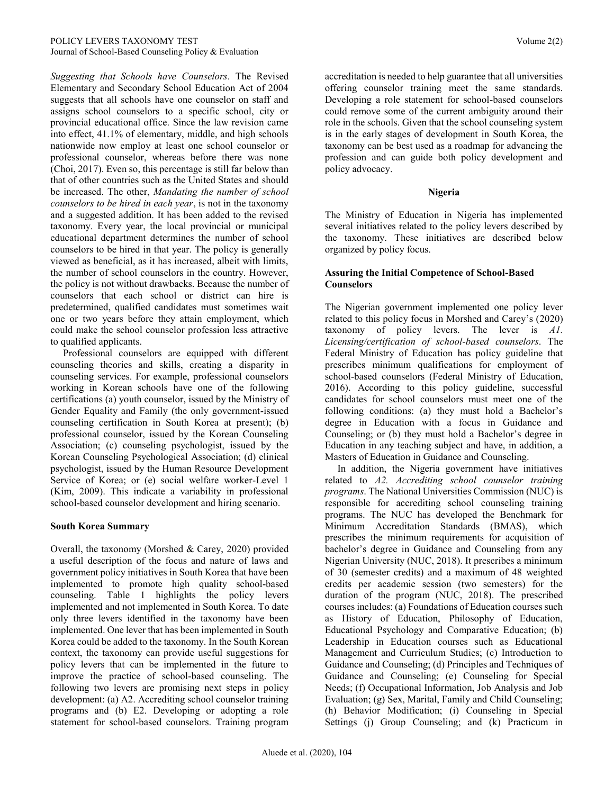*Suggesting that Schools have Counselors*. The Revised Elementary and Secondary School Education Act of 2004 suggests that all schools have one counselor on staff and assigns school counselors to a specific school, city or provincial educational office. Since the law revision came into effect, 41.1% of elementary, middle, and high schools nationwide now employ at least one school counselor or professional counselor, whereas before there was none (Choi, 2017). Even so, this percentage is still far below than that of other countries such as the United States and should be increased. The other, *Mandating the number of school counselors to be hired in each year*, is not in the taxonomy and a suggested addition. It has been added to the revised taxonomy. Every year, the local provincial or municipal educational department determines the number of school counselors to be hired in that year. The policy is generally viewed as beneficial, as it has increased, albeit with limits, the number of school counselors in the country. However, the policy is not without drawbacks. Because the number of counselors that each school or district can hire is predetermined, qualified candidates must sometimes wait one or two years before they attain employment, which could make the school counselor profession less attractive to qualified applicants.

 Professional counselors are equipped with different counseling theories and skills, creating a disparity in counseling services. For example, professional counselors working in Korean schools have one of the following certifications (a) youth counselor, issued by the Ministry of Gender Equality and Family (the only government-issued counseling certification in South Korea at present); (b) professional counselor, issued by the Korean Counseling Association; (c) counseling psychologist, issued by the Korean Counseling Psychological Association; (d) clinical psychologist, issued by the Human Resource Development Service of Korea; or (e) social welfare worker-Level 1 (Kim, 2009). This indicate a variability in professional school-based counselor development and hiring scenario.

#### **South Korea Summary**

Overall, the taxonomy (Morshed & Carey, 2020) provided a useful description of the focus and nature of laws and government policy initiatives in South Korea that have been implemented to promote high quality school-based counseling. Table 1 highlights the policy levers implemented and not implemented in South Korea. To date only three levers identified in the taxonomy have been implemented. One lever that has been implemented in South Korea could be added to the taxonomy. In the South Korean context, the taxonomy can provide useful suggestions for policy levers that can be implemented in the future to improve the practice of school-based counseling. The following two levers are promising next steps in policy development: (a) A2. Accrediting school counselor training programs and (b) E2. Developing or adopting a role statement for school-based counselors. Training program

accreditation is needed to help guarantee that all universities offering counselor training meet the same standards. Developing a role statement for school-based counselors could remove some of the current ambiguity around their role in the schools. Given that the school counseling system is in the early stages of development in South Korea, the taxonomy can be best used as a roadmap for advancing the profession and can guide both policy development and policy advocacy.

#### **Nigeria**

The Ministry of Education in Nigeria has implemented several initiatives related to the policy levers described by the taxonomy. These initiatives are described below organized by policy focus.

#### **Assuring the Initial Competence of School-Based Counselors**

The Nigerian government implemented one policy lever related to this policy focus in Morshed and Carey's (2020) taxonomy of policy levers. The lever is *A1. Licensing/certification of school-based counselors*. The Federal Ministry of Education has policy guideline that prescribes minimum qualifications for employment of school-based counselors (Federal Ministry of Education, 2016). According to this policy guideline, successful candidates for school counselors must meet one of the following conditions: (a) they must hold a Bachelor's degree in Education with a focus in Guidance and Counseling; or (b) they must hold a Bachelor's degree in Education in any teaching subject and have, in addition, a Masters of Education in Guidance and Counseling.

 In addition, the Nigeria government have initiatives related to *A2. Accrediting school counselor training programs*. The National Universities Commission (NUC) is responsible for accrediting school counseling training programs. The NUC has developed the Benchmark for Minimum Accreditation Standards (BMAS), which prescribes the minimum requirements for acquisition of bachelor's degree in Guidance and Counseling from any Nigerian University (NUC, 2018). It prescribes a minimum of 30 (semester credits) and a maximum of 48 weighted credits per academic session (two semesters) for the duration of the program (NUC, 2018). The prescribed courses includes: (a) Foundations of Education courses such as History of Education, Philosophy of Education, Educational Psychology and Comparative Education; (b) Leadership in Education courses such as Educational Management and Curriculum Studies; (c) Introduction to Guidance and Counseling; (d) Principles and Techniques of Guidance and Counseling; (e) Counseling for Special Needs; (f) Occupational Information, Job Analysis and Job Evaluation; (g) Sex, Marital, Family and Child Counseling; (h) Behavior Modification; (i) Counseling in Special Settings (j) Group Counseling; and (k) Practicum in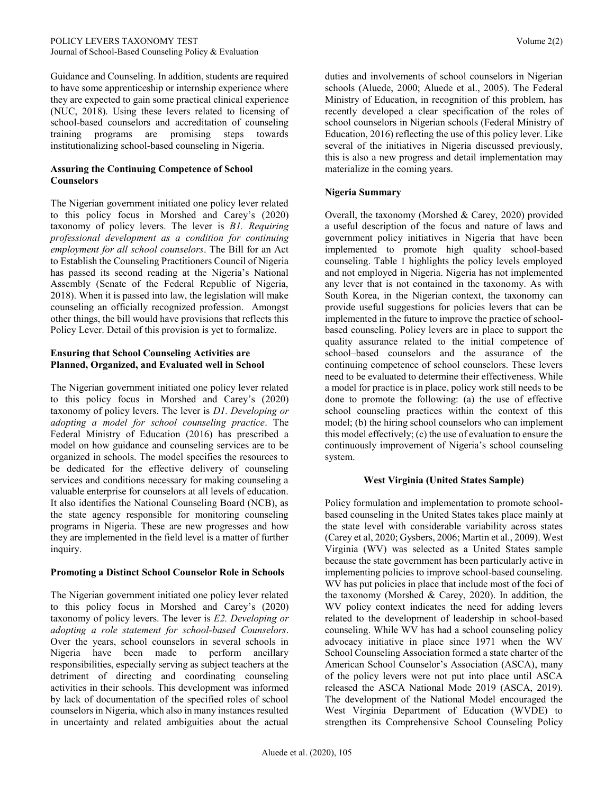Guidance and Counseling. In addition, students are required to have some apprenticeship or internship experience where they are expected to gain some practical clinical experience (NUC, 2018). Using these levers related to licensing of school-based counselors and accreditation of counseling training programs are promising steps towards institutionalizing school-based counseling in Nigeria.

#### **Assuring the Continuing Competence of School Counselors**

The Nigerian government initiated one policy lever related to this policy focus in Morshed and Carey's (2020) taxonomy of policy levers. The lever is *B1. Requiring professional development as a condition for continuing employment for all school counselors*. The Bill for an Act to Establish the Counseling Practitioners Council of Nigeria has passed its second reading at the Nigeria's National Assembly (Senate of the Federal Republic of Nigeria, 2018). When it is passed into law, the legislation will make counseling an officially recognized profession. Amongst other things, the bill would have provisions that reflects this Policy Lever. Detail of this provision is yet to formalize.

#### **Ensuring that School Counseling Activities are Planned, Organized, and Evaluated well in School**

The Nigerian government initiated one policy lever related to this policy focus in Morshed and Carey's (2020) taxonomy of policy levers. The lever is *D1. Developing or adopting a model for school counseling practice*. The Federal Ministry of Education (2016) has prescribed a model on how guidance and counseling services are to be organized in schools. The model specifies the resources to be dedicated for the effective delivery of counseling services and conditions necessary for making counseling a valuable enterprise for counselors at all levels of education. It also identifies the National Counseling Board (NCB), as the state agency responsible for monitoring counseling programs in Nigeria. These are new progresses and how they are implemented in the field level is a matter of further inquiry.

#### **Promoting a Distinct School Counselor Role in Schools**

The Nigerian government initiated one policy lever related to this policy focus in Morshed and Carey's (2020) taxonomy of policy levers. The lever is *E2. Developing or adopting a role statement for school-based Counselors*. Over the years, school counselors in several schools in Nigeria have been made to perform ancillary responsibilities, especially serving as subject teachers at the detriment of directing and coordinating counseling activities in their schools. This development was informed by lack of documentation of the specified roles of school counselors in Nigeria, which also in many instances resulted in uncertainty and related ambiguities about the actual duties and involvements of school counselors in Nigerian schools (Aluede, 2000; Aluede et al., 2005). The Federal Ministry of Education, in recognition of this problem, has recently developed a clear specification of the roles of school counselors in Nigerian schools (Federal Ministry of Education, 2016) reflecting the use of this policy lever. Like several of the initiatives in Nigeria discussed previously, this is also a new progress and detail implementation may materialize in the coming years.

# **Nigeria Summary**

Overall, the taxonomy (Morshed & Carey, 2020) provided a useful description of the focus and nature of laws and government policy initiatives in Nigeria that have been implemented to promote high quality school-based counseling. Table 1 highlights the policy levels employed and not employed in Nigeria. Nigeria has not implemented any lever that is not contained in the taxonomy. As with South Korea, in the Nigerian context, the taxonomy can provide useful suggestions for policies levers that can be implemented in the future to improve the practice of schoolbased counseling. Policy levers are in place to support the quality assurance related to the initial competence of school–based counselors and the assurance of the continuing competence of school counselors. These levers need to be evaluated to determine their effectiveness. While a model for practice is in place, policy work still needs to be done to promote the following: (a) the use of effective school counseling practices within the context of this model; (b) the hiring school counselors who can implement this model effectively; (c) the use of evaluation to ensure the continuously improvement of Nigeria's school counseling system.

# **West Virginia (United States Sample)**

Policy formulation and implementation to promote schoolbased counseling in the United States takes place mainly at the state level with considerable variability across states (Carey et al, 2020; Gysbers, 2006; Martin et al., 2009). West Virginia (WV) was selected as a United States sample because the state government has been particularly active in implementing policies to improve school-based counseling. WV has put policies in place that include most of the foci of the taxonomy (Morshed & Carey, 2020). In addition, the WV policy context indicates the need for adding levers related to the development of leadership in school-based counseling. While WV has had a school counseling policy advocacy initiative in place since 1971 when the WV School Counseling Association formed a state charter of the American School Counselor's Association (ASCA), many of the policy levers were not put into place until ASCA released the ASCA National Mode 2019 (ASCA, 2019). The development of the National Model encouraged the West Virginia Department of Education (WVDE) to strengthen its Comprehensive School Counseling Policy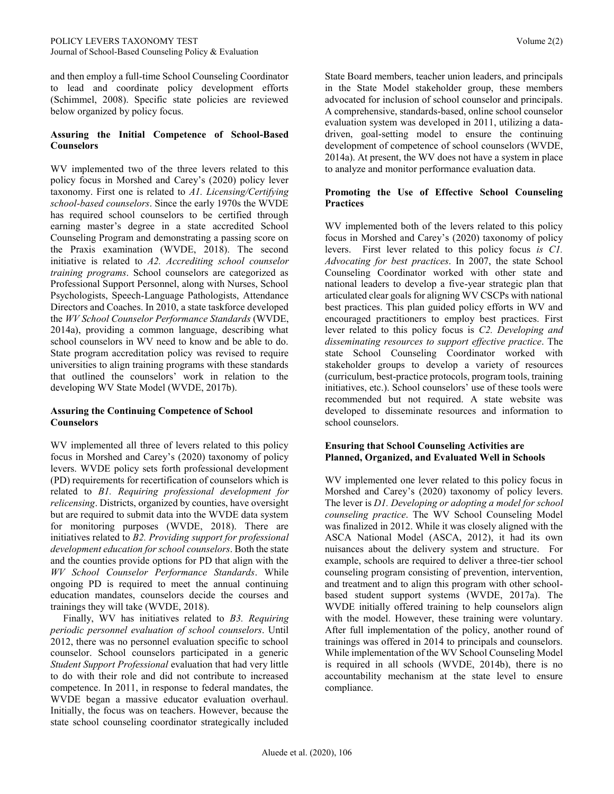and then employ a full-time School Counseling Coordinator to lead and coordinate policy development efforts (Schimmel, 2008). Specific state policies are reviewed below organized by policy focus.

#### **Assuring the Initial Competence of School-Based Counselors**

WV implemented two of the three levers related to this policy focus in Morshed and Carey's (2020) policy lever taxonomy. First one is related to *A1. Licensing/Certifying school-based counselors*. Since the early 1970s the WVDE has required school counselors to be certified through earning master's degree in a state accredited School Counseling Program and demonstrating a passing score on the Praxis examination (WVDE, 2018). The second initiative is related to *A2. Accrediting school counselor training programs*. School counselors are categorized as Professional Support Personnel, along with Nurses, School Psychologists, Speech-Language Pathologists, Attendance Directors and Coaches. In 2010, a state taskforce developed the *WV School Counselor Performance Standards* (WVDE, 2014a), providing a common language, describing what school counselors in WV need to know and be able to do. State program accreditation policy was revised to require universities to align training programs with these standards that outlined the counselors' work in relation to the developing WV State Model (WVDE, 2017b).

#### **Assuring the Continuing Competence of School Counselors**

WV implemented all three of levers related to this policy focus in Morshed and Carey's (2020) taxonomy of policy levers. WVDE policy sets forth professional development (PD) requirements for recertification of counselors which is related to *B1. Requiring professional development for relicensing*. Districts, organized by counties, have oversight but are required to submit data into the WVDE data system for monitoring purposes (WVDE, 2018). There are initiatives related to *B2. Providing support for professional development education for school counselors*. Both the state and the counties provide options for PD that align with the *WV School Counselor Performance Standards*. While ongoing PD is required to meet the annual continuing education mandates, counselors decide the courses and trainings they will take (WVDE, 2018).

 Finally, WV has initiatives related to *B3. Requiring periodic personnel evaluation of school counselors*. Until 2012, there was no personnel evaluation specific to school counselor. School counselors participated in a generic *Student Support Professional* evaluation that had very little to do with their role and did not contribute to increased competence. In 2011, in response to federal mandates, the WVDE began a massive educator evaluation overhaul. Initially, the focus was on teachers. However, because the state school counseling coordinator strategically included State Board members, teacher union leaders, and principals in the State Model stakeholder group, these members advocated for inclusion of school counselor and principals. A comprehensive, standards-based, online school counselor evaluation system was developed in 2011, utilizing a datadriven, goal-setting model to ensure the continuing development of competence of school counselors (WVDE, 2014a). At present, the WV does not have a system in place to analyze and monitor performance evaluation data.

#### **Promoting the Use of Effective School Counseling Practices**

WV implemented both of the levers related to this policy focus in Morshed and Carey's (2020) taxonomy of policy levers. First lever related to this policy focus *is C1. Advocating for best practices*. In 2007, the state School Counseling Coordinator worked with other state and national leaders to develop a five-year strategic plan that articulated clear goals for aligning WV CSCPs with national best practices. This plan guided policy efforts in WV and encouraged practitioners to employ best practices. First lever related to this policy focus is *C2. Developing and disseminating resources to support effective practice*. The state School Counseling Coordinator worked with stakeholder groups to develop a variety of resources (curriculum, best-practice protocols, program tools, training initiatives, etc.). School counselors' use of these tools were recommended but not required. A state website was developed to disseminate resources and information to school counselors.

#### **Ensuring that School Counseling Activities are Planned, Organized, and Evaluated Well in Schools**

WV implemented one lever related to this policy focus in Morshed and Carey's (2020) taxonomy of policy levers. The lever is *D1. Developing or adopting a model for school counseling practice*. The WV School Counseling Model was finalized in 2012. While it was closely aligned with the ASCA National Model (ASCA, 2012), it had its own nuisances about the delivery system and structure. For example, schools are required to deliver a three-tier school counseling program consisting of prevention, intervention, and treatment and to align this program with other schoolbased student support systems (WVDE, 2017a). The WVDE initially offered training to help counselors align with the model. However, these training were voluntary. After full implementation of the policy, another round of trainings was offered in 2014 to principals and counselors. While implementation of the WV School Counseling Model is required in all schools (WVDE, 2014b), there is no accountability mechanism at the state level to ensure compliance.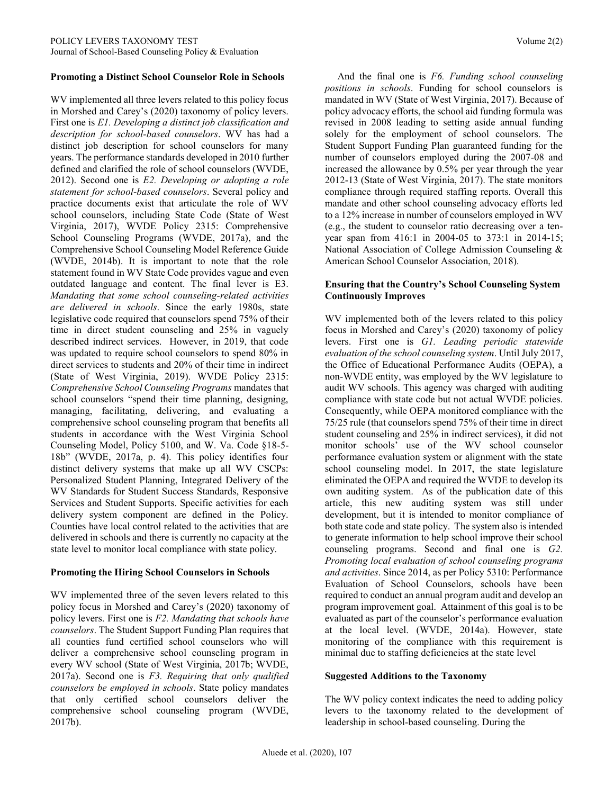#### **Promoting a Distinct School Counselor Role in Schools**

WV implemented all three levers related to this policy focus in Morshed and Carey's (2020) taxonomy of policy levers. First one is *E1. Developing a distinct job classification and description for school-based counselors*. WV has had a distinct job description for school counselors for many years. The performance standards developed in 2010 further defined and clarified the role of school counselors (WVDE, 2012). Second one is *E2. Developing or adopting a role statement for school-based counselors*. Several policy and practice documents exist that articulate the role of WV school counselors, including State Code (State of West Virginia, 2017), WVDE Policy 2315: Comprehensive School Counseling Programs (WVDE, 2017a), and the Comprehensive School Counseling Model Reference Guide (WVDE, 2014b). It is important to note that the role statement found in WV State Code provides vague and even outdated language and content. The final lever is E3. *Mandating that some school counseling-related activities are delivered in schools*. Since the early 1980s, state legislative code required that counselors spend 75% of their time in direct student counseling and 25% in vaguely described indirect services. However, in 2019, that code was updated to require school counselors to spend 80% in direct services to students and 20% of their time in indirect (State of West Virginia, 2019). WVDE Policy 2315: *Comprehensive School Counseling Programs* mandates that school counselors "spend their time planning, designing, managing, facilitating, delivering, and evaluating a comprehensive school counseling program that benefits all students in accordance with the West Virginia School Counseling Model, Policy 5100, and W. Va. Code §18-5- 18b" (WVDE, 2017a, p. 4). This policy identifies four distinct delivery systems that make up all WV CSCPs: Personalized Student Planning, Integrated Delivery of the WV Standards for Student Success Standards, Responsive Services and Student Supports. Specific activities for each delivery system component are defined in the Policy. Counties have local control related to the activities that are delivered in schools and there is currently no capacity at the state level to monitor local compliance with state policy.

#### **Promoting the Hiring School Counselors in Schools**

WV implemented three of the seven levers related to this policy focus in Morshed and Carey's (2020) taxonomy of policy levers. First one is *F2. Mandating that schools have counselors*. The Student Support Funding Plan requires that all counties fund certified school counselors who will deliver a comprehensive school counseling program in every WV school (State of West Virginia, 2017b; WVDE, 2017a). Second one is *F3. Requiring that only qualified counselors be employed in schools*. State policy mandates that only certified school counselors deliver the comprehensive school counseling program (WVDE, 2017b).

 And the final one is *F6. Funding school counseling positions in schools*. Funding for school counselors is mandated in WV (State of West Virginia, 2017). Because of policy advocacy efforts, the school aid funding formula was revised in 2008 leading to setting aside annual funding solely for the employment of school counselors. The Student Support Funding Plan guaranteed funding for the number of counselors employed during the 2007-08 and increased the allowance by 0.5% per year through the year 2012-13 (State of West Virginia, 2017). The state monitors compliance through required staffing reports. Overall this mandate and other school counseling advocacy efforts led to a 12% increase in number of counselors employed in WV (e.g., the student to counselor ratio decreasing over a tenyear span from 416:1 in 2004-05 to 373:1 in 2014-15; National Association of College Admission Counseling & American School Counselor Association, 2018).

#### **Ensuring that the Country's School Counseling System Continuously Improves**

WV implemented both of the levers related to this policy focus in Morshed and Carey's (2020) taxonomy of policy levers. First one is *G1. Leading periodic statewide evaluation of the school counseling system*. Until July 2017, the Office of Educational Performance Audits (OEPA), a non-WVDE entity, was employed by the WV legislature to audit WV schools. This agency was charged with auditing compliance with state code but not actual WVDE policies. Consequently, while OEPA monitored compliance with the 75/25 rule (that counselors spend 75% of their time in direct student counseling and 25% in indirect services), it did not monitor schools' use of the WV school counselor performance evaluation system or alignment with the state school counseling model. In 2017, the state legislature eliminated the OEPA and required the WVDE to develop its own auditing system. As of the publication date of this article, this new auditing system was still under development, but it is intended to monitor compliance of both state code and state policy. The system also is intended to generate information to help school improve their school counseling programs. Second and final one is *G2. Promoting local evaluation of school counseling programs and activities*. Since 2014, as per Policy 5310: Performance Evaluation of School Counselors, schools have been required to conduct an annual program audit and develop an program improvement goal. Attainment of this goal is to be evaluated as part of the counselor's performance evaluation at the local level. (WVDE, 2014a). However, state monitoring of the compliance with this requirement is minimal due to staffing deficiencies at the state level

#### **Suggested Additions to the Taxonomy**

The WV policy context indicates the need to adding policy levers to the taxonomy related to the development of leadership in school-based counseling. During the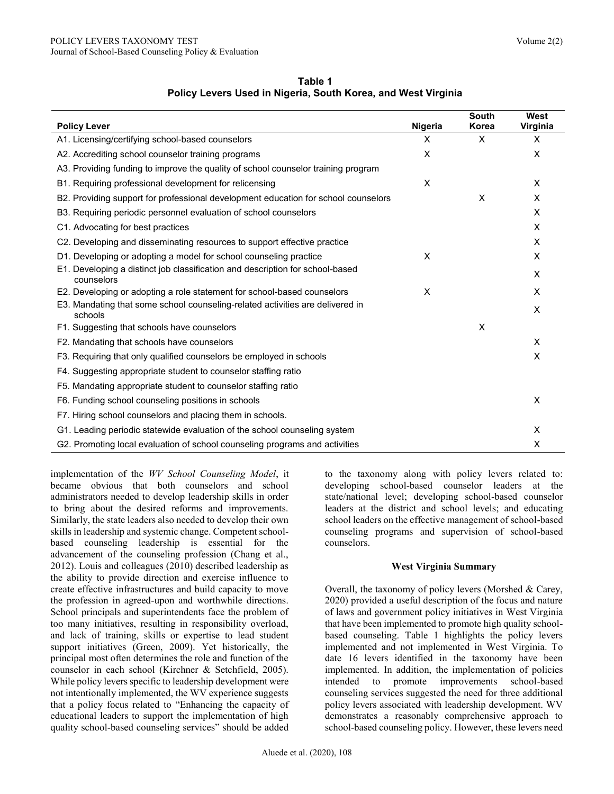| <b>Policy Lever</b>                                                                         | Nigeria | South<br>Korea | West<br>Virginia |
|---------------------------------------------------------------------------------------------|---------|----------------|------------------|
| A1. Licensing/certifying school-based counselors                                            | X       | $\times$       | $\times$         |
| A2. Accrediting school counselor training programs                                          | X       |                | X                |
| A3. Providing funding to improve the quality of school counselor training program           |         |                |                  |
| B1. Requiring professional development for relicensing                                      | X       |                | $\times$         |
| B2. Providing support for professional development education for school counselors          |         | X              | X                |
| B3. Requiring periodic personnel evaluation of school counselors                            |         |                | $\times$         |
| C1. Advocating for best practices                                                           |         |                | X                |
| C2. Developing and disseminating resources to support effective practice                    |         |                | $\times$         |
| D1. Developing or adopting a model for school counseling practice                           | X       |                | X                |
| E1. Developing a distinct job classification and description for school-based<br>counselors |         |                | X                |
| E2. Developing or adopting a role statement for school-based counselors                     | X       |                | X                |
| E3. Mandating that some school counseling-related activities are delivered in<br>schools    |         |                | $\times$         |
| F1. Suggesting that schools have counselors                                                 |         | X              |                  |
| F2. Mandating that schools have counselors                                                  |         |                | $\times$         |
| F3. Requiring that only qualified counselors be employed in schools                         |         |                | X                |
| F4. Suggesting appropriate student to counselor staffing ratio                              |         |                |                  |
| F5. Mandating appropriate student to counselor staffing ratio                               |         |                |                  |
| F6. Funding school counseling positions in schools                                          |         |                | X                |
| F7. Hiring school counselors and placing them in schools.                                   |         |                |                  |
| G1. Leading periodic statewide evaluation of the school counseling system                   |         |                | X                |
| G2. Promoting local evaluation of school counseling programs and activities                 |         |                | X                |

**Table 1 Policy Levers Used in Nigeria, South Korea, and West Virginia**

implementation of the *WV School Counseling Model*, it became obvious that both counselors and school administrators needed to develop leadership skills in order to bring about the desired reforms and improvements. Similarly, the state leaders also needed to develop their own skills in leadership and systemic change. Competent schoolbased counseling leadership is essential for the advancement of the counseling profession (Chang et al., 2012). Louis and colleagues (2010) described leadership as the ability to provide direction and exercise influence to create effective infrastructures and build capacity to move the profession in agreed-upon and worthwhile directions. School principals and superintendents face the problem of too many initiatives, resulting in responsibility overload, and lack of training, skills or expertise to lead student support initiatives (Green, 2009). Yet historically, the principal most often determines the role and function of the counselor in each school (Kirchner & Setchfield, 2005). While policy levers specific to leadership development were not intentionally implemented, the WV experience suggests that a policy focus related to "Enhancing the capacity of educational leaders to support the implementation of high quality school-based counseling services" should be added

to the taxonomy along with policy levers related to: developing school-based counselor leaders at the state/national level; developing school-based counselor leaders at the district and school levels; and educating school leaders on the effective management of school-based counseling programs and supervision of school-based counselors.

#### **West Virginia Summary**

Overall, the taxonomy of policy levers (Morshed & Carey, 2020) provided a useful description of the focus and nature of laws and government policy initiatives in West Virginia that have been implemented to promote high quality schoolbased counseling. Table 1 highlights the policy levers implemented and not implemented in West Virginia. To date 16 levers identified in the taxonomy have been implemented. In addition, the implementation of policies intended to promote improvements school-based counseling services suggested the need for three additional policy levers associated with leadership development. WV demonstrates a reasonably comprehensive approach to school-based counseling policy. However, these levers need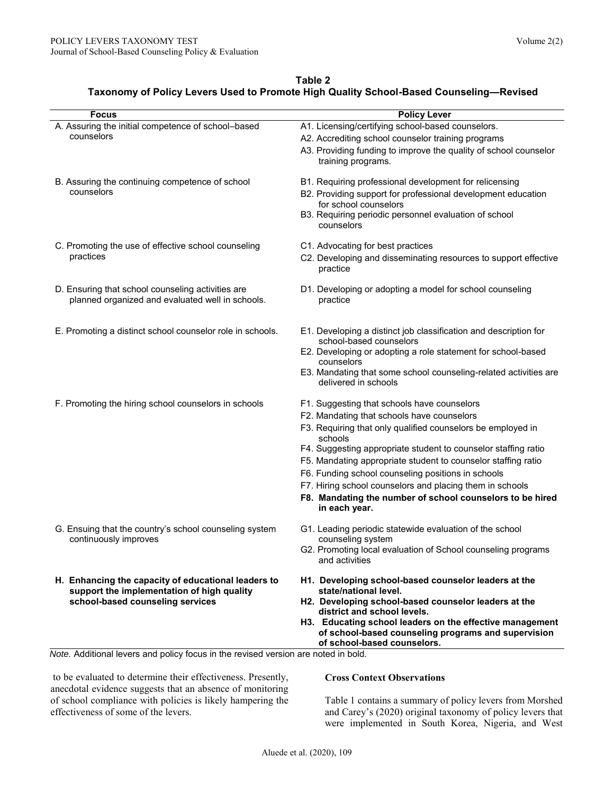| Table 2                                                                                |
|----------------------------------------------------------------------------------------|
| Taxonomy of Policy Levers Used to Promote High Quality School-Based Counseling-Revised |

| <b>Focus</b>                                                                                                                          | <b>Policy Lever</b>                                                                                                                            |
|---------------------------------------------------------------------------------------------------------------------------------------|------------------------------------------------------------------------------------------------------------------------------------------------|
| A. Assuring the initial competence of school-based                                                                                    | A1. Licensing/certifying school-based counselors.                                                                                              |
| counselors                                                                                                                            | A2. Accrediting school counselor training programs                                                                                             |
|                                                                                                                                       | A3. Providing funding to improve the quality of school counselor                                                                               |
|                                                                                                                                       | training programs.                                                                                                                             |
| B. Assuring the continuing competence of school                                                                                       | B1. Requiring professional development for relicensing                                                                                         |
| counselors                                                                                                                            | B2. Providing support for professional development education<br>for school counselors                                                          |
|                                                                                                                                       | B3. Requiring periodic personnel evaluation of school<br>counselors                                                                            |
| C. Promoting the use of effective school counseling                                                                                   | C1. Advocating for best practices                                                                                                              |
| practices                                                                                                                             | C2. Developing and disseminating resources to support effective<br>practice                                                                    |
| D. Ensuring that school counseling activities are<br>planned organized and evaluated well in schools.                                 | D1. Developing or adopting a model for school counseling<br>practice                                                                           |
| E. Promoting a distinct school counselor role in schools.                                                                             | E1. Developing a distinct job classification and description for                                                                               |
|                                                                                                                                       | school-based counselors<br>E2. Developing or adopting a role statement for school-based                                                        |
|                                                                                                                                       | counselors                                                                                                                                     |
|                                                                                                                                       | E3. Mandating that some school counseling-related activities are<br>delivered in schools                                                       |
| F. Promoting the hiring school counselors in schools                                                                                  | F1. Suggesting that schools have counselors                                                                                                    |
|                                                                                                                                       | F2. Mandating that schools have counselors                                                                                                     |
|                                                                                                                                       | F3. Requiring that only qualified counselors be employed in<br>schools                                                                         |
|                                                                                                                                       | F4. Suggesting appropriate student to counselor staffing ratio                                                                                 |
|                                                                                                                                       | F5. Mandating appropriate student to counselor staffing ratio                                                                                  |
|                                                                                                                                       | F6. Funding school counseling positions in schools                                                                                             |
|                                                                                                                                       | F7. Hiring school counselors and placing them in schools                                                                                       |
|                                                                                                                                       | F8. Mandating the number of school counselors to be hired<br>in each year.                                                                     |
| G. Ensuing that the country's school counseling system<br>continuously improves                                                       | G1. Leading periodic statewide evaluation of the school<br>counseling system                                                                   |
|                                                                                                                                       | G2. Promoting local evaluation of School counseling programs                                                                                   |
|                                                                                                                                       | and activities                                                                                                                                 |
| H. Enhancing the capacity of educational leaders to<br>support the implementation of high quality<br>school-based counseling services | H1. Developing school-based counselor leaders at the<br>state/national level.                                                                  |
|                                                                                                                                       | H2. Developing school-based counselor leaders at the<br>district and school levels.                                                            |
|                                                                                                                                       | H3. Educating school leaders on the effective management<br>of school-based counseling programs and supervision<br>of school-based counselors. |
| Note. Additional levers and policy focus in the revised version are noted in bold.                                                    |                                                                                                                                                |

to be evaluated to determine their effectiveness. Presently, anecdotal evidence suggests that an absence of monitoring of school compliance with policies is likely hampering the effectiveness of some of the levers.

### **Cross Context Observations**

Table 1 contains a summary of policy levers from Morshed and Carey's (2020) original taxonomy of policy levers that were implemented in South Korea, Nigeria, and West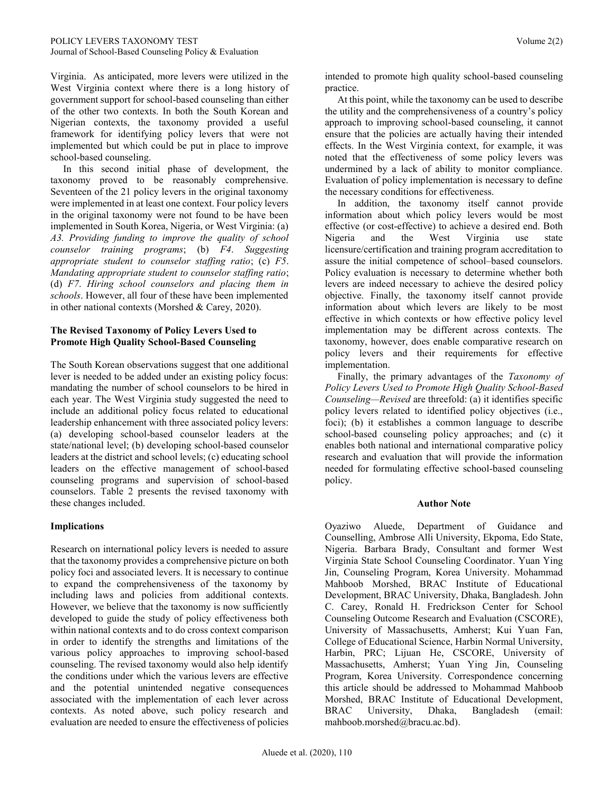Virginia. As anticipated, more levers were utilized in the West Virginia context where there is a long history of government support for school-based counseling than either of the other two contexts. In both the South Korean and Nigerian contexts, the taxonomy provided a useful framework for identifying policy levers that were not implemented but which could be put in place to improve school-based counseling.

 In this second initial phase of development, the taxonomy proved to be reasonably comprehensive. Seventeen of the 21 policy levers in the original taxonomy were implemented in at least one context. Four policy levers in the original taxonomy were not found to be have been implemented in South Korea, Nigeria, or West Virginia: (a) *A3. Providing funding to improve the quality of school counselor training programs*; (b) *F4*. *Suggesting appropriate student to counselor staffing ratio*; (c) *F5*. *Mandating appropriate student to counselor staffing ratio*; (d) *F7*. *Hiring school counselors and placing them in schools*. However, all four of these have been implemented in other national contexts (Morshed & Carey, 2020).

#### **The Revised Taxonomy of Policy Levers Used to Promote High Quality School-Based Counseling**

The South Korean observations suggest that one additional lever is needed to be added under an existing policy focus: mandating the number of school counselors to be hired in each year. The West Virginia study suggested the need to include an additional policy focus related to educational leadership enhancement with three associated policy levers: (a) developing school-based counselor leaders at the state/national level; (b) developing school-based counselor leaders at the district and school levels; (c) educating school leaders on the effective management of school-based counseling programs and supervision of school-based counselors. Table 2 presents the revised taxonomy with these changes included.

# **Implications**

Research on international policy levers is needed to assure that the taxonomy provides a comprehensive picture on both policy foci and associated levers. It is necessary to continue to expand the comprehensiveness of the taxonomy by including laws and policies from additional contexts. However, we believe that the taxonomy is now sufficiently developed to guide the study of policy effectiveness both within national contexts and to do cross context comparison in order to identify the strengths and limitations of the various policy approaches to improving school-based counseling. The revised taxonomy would also help identify the conditions under which the various levers are effective and the potential unintended negative consequences associated with the implementation of each lever across contexts. As noted above, such policy research and evaluation are needed to ensure the effectiveness of policies

intended to promote high quality school-based counseling practice.

 At this point, while the taxonomy can be used to describe the utility and the comprehensiveness of a country's policy approach to improving school-based counseling, it cannot ensure that the policies are actually having their intended effects. In the West Virginia context, for example, it was noted that the effectiveness of some policy levers was undermined by a lack of ability to monitor compliance. Evaluation of policy implementation is necessary to define the necessary conditions for effectiveness.

 In addition, the taxonomy itself cannot provide information about which policy levers would be most effective (or cost-effective) to achieve a desired end. Both Nigeria and the West Virginia use state licensure/certification and training program accreditation to assure the initial competence of school–based counselors. Policy evaluation is necessary to determine whether both levers are indeed necessary to achieve the desired policy objective. Finally, the taxonomy itself cannot provide information about which levers are likely to be most effective in which contexts or how effective policy level implementation may be different across contexts. The taxonomy, however, does enable comparative research on policy levers and their requirements for effective implementation.

 Finally, the primary advantages of the *Taxonomy of Policy Levers Used to Promote High Quality School-Based Counseling—Revised* are threefold: (a) it identifies specific policy levers related to identified policy objectives (i.e., foci); (b) it establishes a common language to describe school-based counseling policy approaches; and (c) it enables both national and international comparative policy research and evaluation that will provide the information needed for formulating effective school-based counseling policy.

#### **Author Note**

Oyaziwo Aluede, Department of Guidance and Counselling, Ambrose Alli University, Ekpoma, Edo State, Nigeria. Barbara Brady, Consultant and former West Virginia State School Counseling Coordinator. Yuan Ying Jin, Counseling Program, Korea University. Mohammad Mahboob Morshed, BRAC Institute of Educational Development, BRAC University, Dhaka, Bangladesh. John C. Carey, Ronald H. Fredrickson Center for School Counseling Outcome Research and Evaluation (CSCORE), University of Massachusetts, Amherst; Kui Yuan Fan, College of Educational Science, Harbin Normal University, Harbin, PRC; Lijuan He, CSCORE, University of Massachusetts, Amherst; Yuan Ying Jin, Counseling Program, Korea University. Correspondence concerning this article should be addressed to Mohammad Mahboob Morshed, BRAC Institute of Educational Development, BRAC University, Dhaka, Bangladesh (email: mahboob.morshed@bracu.ac.bd).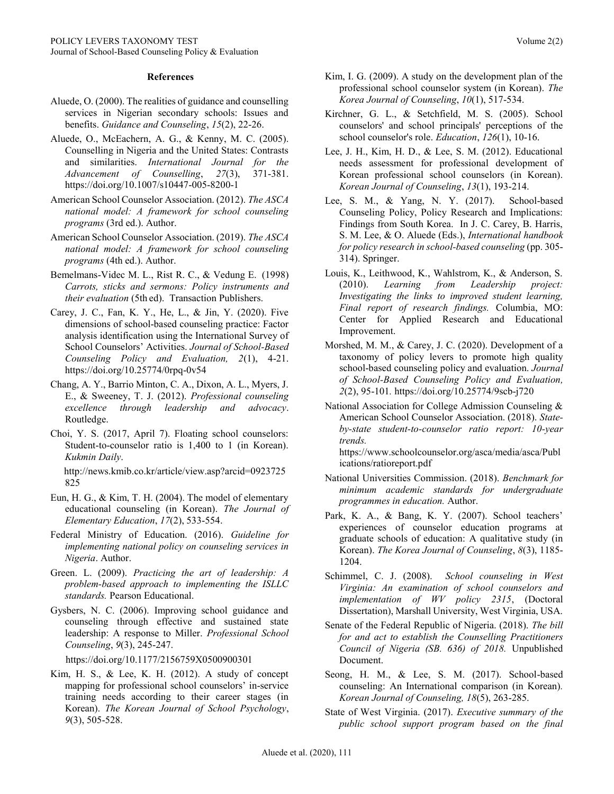#### **References**

- Aluede, O. (2000). The realities of guidance and counselling services in Nigerian secondary schools: Issues and benefits. *Guidance and Counseling*, *15*(2), 22-26.
- Aluede, O., McEachern, A. G., & Kenny, M. C. (2005). Counselling in Nigeria and the United States: Contrasts and similarities. *International Journal for the Advancement of Counselling*, *27*(3), 371-381. <https://doi.org/10.1007/s10447-005-8200-1>
- American School Counselor Association. (2012). *The ASCA national model: A framework for school counseling programs* (3rd ed.). Author.
- American School Counselor Association. (2019). *The ASCA national model: A framework for school counseling programs* (4th ed.). Author.
- Bemelmans-Videc M. L., Rist R. C., & Vedung E. (1998) *Carrots, sticks and sermons: Policy instruments and their evaluation* (5th ed). Transaction Publishers.
- Carey, J. C., Fan, K. Y., He, L., & Jin, Y. (2020). Five dimensions of school-based counseling practice: Factor analysis identification using the International Survey of School Counselors' Activities. *Journal of School-Based Counseling Policy and Evaluation, 2*(1), 4-21. <https://doi.org/10.25774/0rpq-0v54>
- Chang, A. Y., Barrio Minton, C. A., Dixon, A. L., Myers, J. E., & Sweeney, T. J. (2012). *Professional counseling excellence through leadership and advocacy*. Routledge.
- Choi, Y. S. (2017, April 7). Floating school counselors: Student-to-counselor ratio is 1,400 to 1 (in Korean). *Kukmin Daily*.

[http://news.kmib.co.kr/article/view.asp?arcid=0923725](http://news.kmib.co.kr/article/view.asp?arcid=0923725825) [825](http://news.kmib.co.kr/article/view.asp?arcid=0923725825)

- Eun, H. G., & Kim, T. H. (2004). The model of elementary educational counseling (in Korean). *The Journal of Elementary Education*, *17*(2), 533-554.
- Federal Ministry of Education. (2016). *Guideline for implementing national policy on counseling services in Nigeria*. Author.
- Green. L. (2009). *Practicing the art of leadership: A problem-based approach to implementing the ISLLC standards.* Pearson Educational.
- Gysbers, N. C. (2006). Improving school guidance and counseling through effective and sustained state leadership: A response to Miller. *Professional School Counseling*, *9*(3), 245-247.

<https://doi.org/10.1177/2156759X0500900301>

Kim, H. S., & Lee, K. H. (2012). A study of concept mapping for professional school counselors' in-service training needs according to their career stages (in Korean). *The Korean Journal of School Psychology*, *9*(3), 505-528.

- Kim, I. G. (2009). A study on the development plan of the professional school counselor system (in Korean). *The Korea Journal of Counseling*, *10*(1), 517-534.
- Kirchner, G. L., & Setchfield, M. S. (2005). School counselors' and school principals' perceptions of the school counselor's role. *Education*, *126*(1), 10-16.
- Lee, J. H., Kim, H. D., & Lee, S. M. (2012). Educational needs assessment for professional development of Korean professional school counselors (in Korean). *Korean Journal of Counseling*, *13*(1), 193-214.
- Lee, S. M., & Yang, N. Y. (2017).School-based Counseling Policy, Policy Research and Implications: Findings from South Korea. In J. C. Carey, B. Harris, S. M. Lee, & O. Aluede (Eds.), *International handbook for policy research in school-based counseling* (pp. 305- 314). Springer.
- Louis, K., Leithwood, K., Wahlstrom, K., & Anderson, S. (2010). *Learning from Leadership project: Investigating the links to improved student learning, Final report of research findings.* Columbia, MO: Center for Applied Research and Educational Improvement.
- Morshed, M. M., & Carey, J. C. (2020). Development of a taxonomy of policy levers to promote high quality school-based counseling policy and evaluation. *Journal of School-Based Counseling Policy and Evaluation, 2*(2), 95-101*.* <https://doi.org/10.25774/9scb-j720>
- National Association for College Admission Counseling & American School Counselor Association. (2018). *Stateby-state student-to-counselor ratio report: 10-year trends.*

[https://www.schoolcounselor.org/asca/media/asca/Publ](https://www.schoolcounselor.org/asca/media/asca/Publications/ratioreport.pdf) [ications/ratioreport.pdf](https://www.schoolcounselor.org/asca/media/asca/Publications/ratioreport.pdf)

- National Universities Commission. (2018). *Benchmark for minimum academic standards for undergraduate programmes in education.* Author.
- Park, K. A., & Bang, K. Y. (2007). School teachers' experiences of counselor education programs at graduate schools of education: A qualitative study (in Korean). *The Korea Journal of Counseling*, *8*(3), 1185- 1204.
- Schimmel, C. J. (2008). *School counseling in West Virginia: An examination of school counselors and implementation of WV policy 2315*, (Doctoral Dissertation), Marshall University, West Virginia, USA.
- Senate of the Federal Republic of Nigeria. (2018). *The bill for and act to establish the Counselling Practitioners Council of Nigeria (SB. 636) of 2018.* Unpublished Document.
- Seong, H. M., & Lee, S. M. (2017). School-based counseling: An International comparison (in Korean)*. Korean Journal of Counseling, 18*(5), 263-285.
- State of West Virginia. (2017). *Executive summary of the public school support program based on the final*